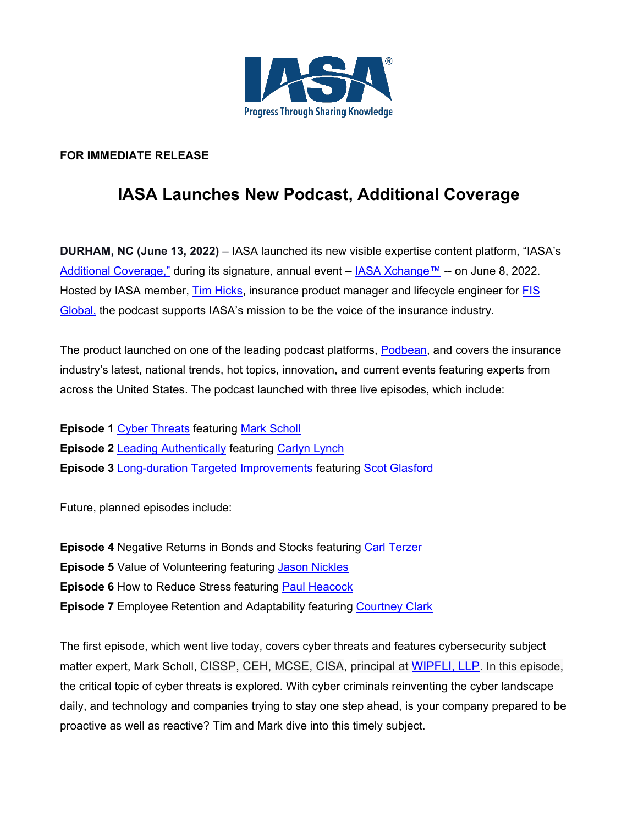

## **FOR IMMEDIATE RELEASE**

## **IASA Launches New Podcast, Additional Coverage**

**DURHAM, NC (June 13, 2022)** – IASA launched its new visible expertise content platform, "IASA's [Additional Coverage,"](https://iasasadditionalcoverage.podbean.com/) during its signature, annual event – [IASA Xchange™](http://iasa.org/xchange22) -- on June 8, 2022. Hosted by IASA member, [Tim Hicks,](https://www.linkedin.com/in/tim-hicks-9a45033/) insurance product manager and lifecycle engineer for [FIS](https://www.fisglobal.com/en/) [Global,](https://www.fisglobal.com/en/) the podcast supports IASA's mission to be the voice of the insurance industry.

The product launched on one of the leading podcast platforms, [Podbean,](https://www.podbean.com/?sourceid=navbar_logo) and covers the insurance industry's latest, national trends, hot topics, innovation, and current events featuring experts from across the United States. The podcast launched with three live episodes, which include:

**Episode 1** [Cyber Threats](https://iasasadditionalcoverage.podbean.com/e/cyber-threats/?token=03185f2ca49c12b1f275bed6a755e050) featuring [Mark Scholl](https://www.linkedin.com/in/mark-scholl-5075401/) **Episode 2** [Leading Authentically](https://iasasadditionalcoverage.podbean.com/e/leading-authentically) featuring [Carlyn Lynch](https://www.linkedin.com/in/carlynlynch/) **Episode 3** Long-duration [Targeted Improvements](https://iasasadditionalcoverage.podbean.com/e/iasa-s-additional-podcast-3-ldti) featuring [Scot Glasford](https://www.linkedin.com/in/scot-glasford/)

Future, planned episodes include:

**Episode 4** Negative Returns in Bonds and Stocks featuring [Carl Terzer](https://www.linkedin.com/in/carl-terzer-2076899/) **Episode 5** Value of Volunteering featuring [Jason Nickles](https://www.linkedin.com/in/jason-nickles-cpa-4b39309/) **Episode 6** How to Reduce Stress featuring [Paul Heacock](https://www.linkedin.com/in/basicrelationships/) **Episode 7** Employee Retention and Adaptability featuring [Courtney Clark](https://www.courtneyclark.com/)

The first episode, which went live today, covers cyber threats and features cybersecurity subject matter expert, Mark Scholl, CISSP, CEH, MCSE, CISA, principal at [WIPFLI, LLP.](https://www.wipfli.com/) In this episode, the critical topic of cyber threats is explored. With cyber criminals reinventing the cyber landscape daily, and technology and companies trying to stay one step ahead, is your company prepared to be proactive as well as reactive? Tim and Mark dive into this timely subject.